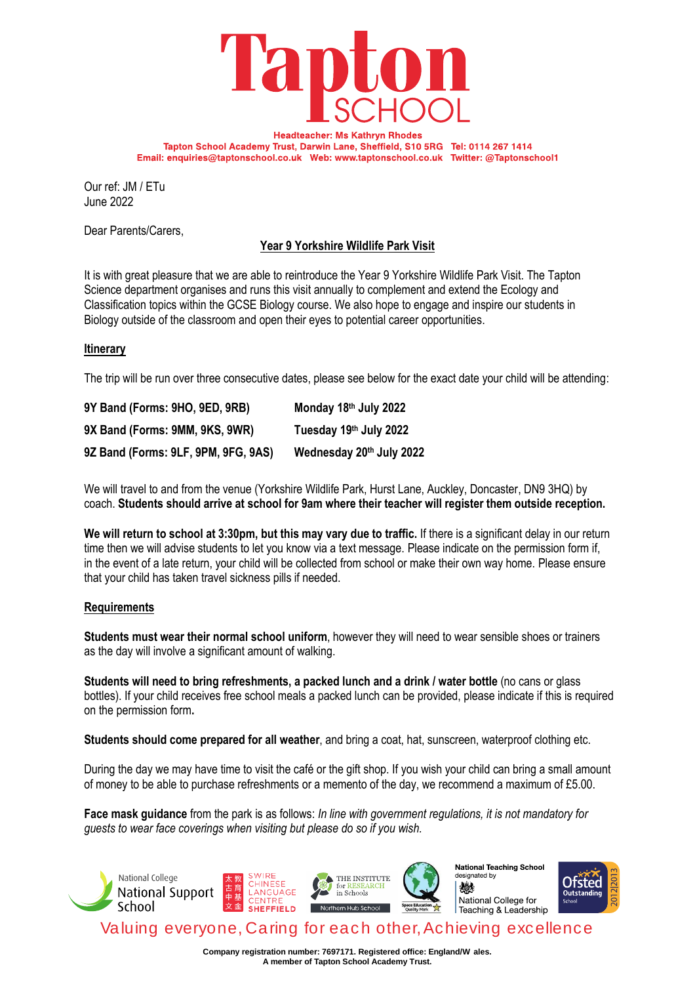

**Headteacher: Ms Kathryn Rhodes** Tapton School Academy Trust, Darwin Lane, Sheffield, S10 5RG Tel: 0114 267 1414 Email: enquiries@taptonschool.co.uk Web: www.taptonschool.co.uk Twitter: @Taptonschool1

Our ref: JM / ETu June 2022

Dear Parents/Carers,

# **Year 9 Yorkshire Wildlife Park Visit**

It is with great pleasure that we are able to reintroduce the Year 9 Yorkshire Wildlife Park Visit. The Tapton Science department organises and runs this visit annually to complement and extend the Ecology and Classification topics within the GCSE Biology course. We also hope to engage and inspire our students in Biology outside of the classroom and open their eyes to potential career opportunities.

# **Itinerary**

The trip will be run over three consecutive dates, please see below for the exact date your child will be attending:

| 9Y Band (Forms: 9HO, 9ED, 9RB)      | Monday 18th July 2022    |
|-------------------------------------|--------------------------|
| 9X Band (Forms: 9MM, 9KS, 9WR)      | Tuesday 19th July 2022   |
| 9Z Band (Forms: 9LF, 9PM, 9FG, 9AS) | Wednesday 20th July 2022 |

We will travel to and from the venue (Yorkshire Wildlife Park, Hurst Lane, Auckley, Doncaster, DN9 3HQ) by coach. **Students should arrive at school for 9am where their teacher will register them outside reception.** 

**We will return to school at 3:30pm, but this may vary due to traffic.** If there is a significant delay in our return time then we will advise students to let you know via a text message. Please indicate on the permission form if, in the event of a late return, your child will be collected from school or make their own way home. Please ensure that your child has taken travel sickness pills if needed.

# **Requirements**

**Students must wear their normal school uniform**, however they will need to wear sensible shoes or trainers as the day will involve a significant amount of walking.

**Students will need to bring refreshments, a packed lunch and a drink / water bottle** (no cans or glass bottles). If your child receives free school meals a packed lunch can be provided, please indicate if this is required on the permission form**.** 

**Students should come prepared for all weather**, and bring a coat, hat, sunscreen, waterproof clothing etc.

During the day we may have time to visit the café or the gift shop. If you wish your child can bring a small amount of money to be able to purchase refreshments or a memento of the day, we recommend a maximum of £5.00.

**Face mask guidance** from the park is as follows: *In line with government regulations, it is not mandatory for guests to wear face coverings when visiting but please do so if you wish.*



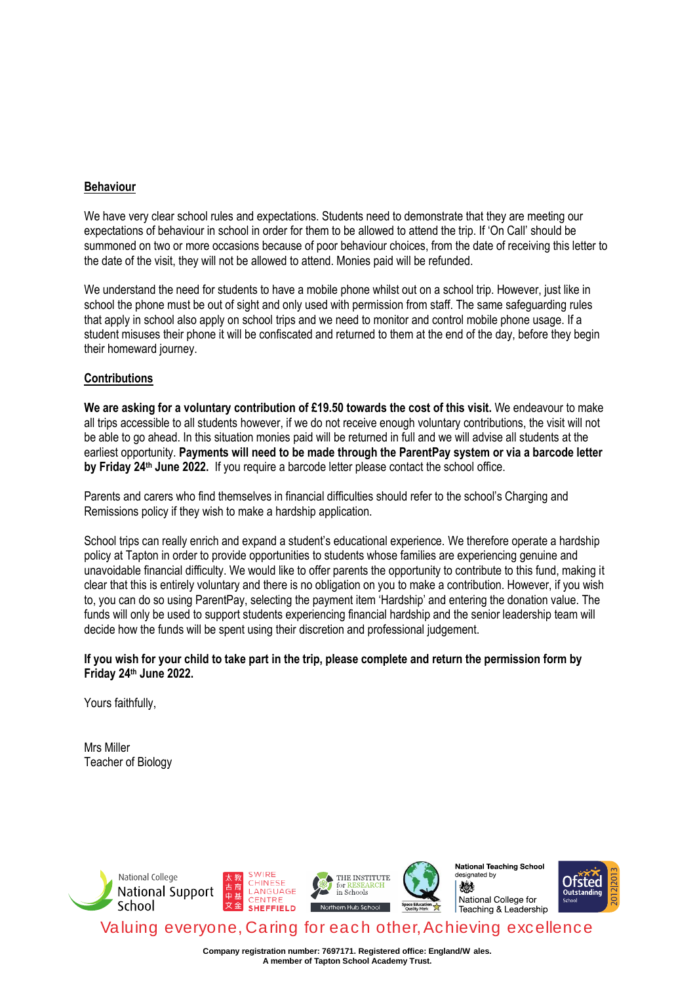# **Behaviour**

We have very clear school rules and expectations. Students need to demonstrate that they are meeting our expectations of behaviour in school in order for them to be allowed to attend the trip. If 'On Call' should be summoned on two or more occasions because of poor behaviour choices, from the date of receiving this letter to the date of the visit, they will not be allowed to attend. Monies paid will be refunded.

We understand the need for students to have a mobile phone whilst out on a school trip. However, just like in school the phone must be out of sight and only used with permission from staff. The same safeguarding rules that apply in school also apply on school trips and we need to monitor and control mobile phone usage. If a student misuses their phone it will be confiscated and returned to them at the end of the day, before they begin their homeward journey.

# **Contributions**

**We are asking for a voluntary contribution of £19.50 towards the cost of this visit.** We endeavour to make all trips accessible to all students however, if we do not receive enough voluntary contributions, the visit will not be able to go ahead. In this situation monies paid will be returned in full and we will advise all students at the earliest opportunity. **Payments will need to be made through the ParentPay system or via a barcode letter by Friday 24th June 2022.** If you require a barcode letter please contact the school office.

Parents and carers who find themselves in financial difficulties should refer to the school's Charging and Remissions policy if they wish to make a hardship application.

School trips can really enrich and expand a student's educational experience. We therefore operate a hardship policy at Tapton in order to provide opportunities to students whose families are experiencing genuine and unavoidable financial difficulty. We would like to offer parents the opportunity to contribute to this fund, making it clear that this is entirely voluntary and there is no obligation on you to make a contribution. However, if you wish to, you can do so using ParentPay, selecting the payment item 'Hardship' and entering the donation value. The funds will only be used to support students experiencing financial hardship and the senior leadership team will decide how the funds will be spent using their discretion and professional judgement.

# **If you wish for your child to take part in the trip, please complete and return the permission form by Friday 24th June 2022.**

Yours faithfully,

Mrs Miller Teacher of Biology



**Company registration number: 7697171. Registered office: England/W ales. A member of Tapton School Academy Trust.**